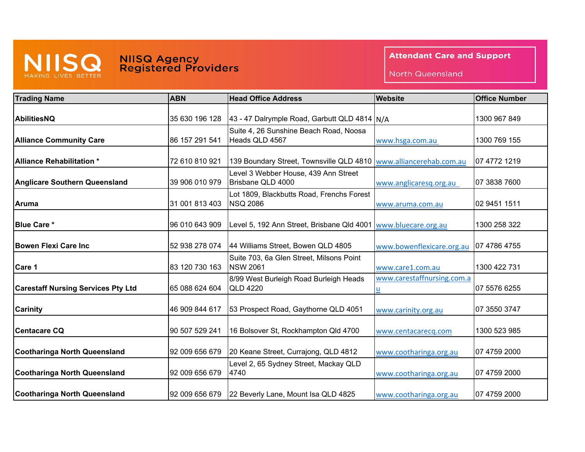

## MISS NIISG Agency<br>
MAKING LIVES BETTER Registered Providers

**Attendant Care and Support** 

North Queensland

| <b>Trading Name</b>                       | <b>ABN</b>     | <b>Head Office Address</b>                                   | <b>Website</b>             | <b>Office Number</b> |
|-------------------------------------------|----------------|--------------------------------------------------------------|----------------------------|----------------------|
| AbilitiesNQ                               | 35 630 196 128 | 43 - 47 Dalrymple Road, Garbutt QLD 4814 N/A                 |                            | 1300 967 849         |
| <b>Alliance Community Care</b>            | 86 157 291 541 | Suite 4, 26 Sunshine Beach Road, Noosa<br>Heads QLD 4567     | www.hsga.com.au            | 1300 769 155         |
| <b>Alliance Rehabilitation *</b>          | 72 610 810 921 | 139 Boundary Street, Townsville QLD 4810                     | www.alliancerehab.com.au   | 07 4772 1219         |
| <b>Anglicare Southern Queensland</b>      | 39 906 010 979 | Level 3 Webber House, 439 Ann Street<br>Brisbane QLD 4000    | www.anglicaresq.org.au     | 07 3838 7600         |
| <b>Aruma</b>                              | 31 001 813 403 | Lot 1809, Blackbutts Road, Frenchs Forest<br><b>NSQ 2086</b> | www.aruma.com.au           | 02 9451 1511         |
| <b>Blue Care *</b>                        | 96 010 643 909 | Level 5, 192 Ann Street, Brisbane Qld 4001                   | www.bluecare.org.au        | 1300 258 322         |
| <b>Bowen Flexi Care Inc</b>               | 52 938 278 074 | 44 Williams Street, Bowen QLD 4805                           | www.bowenflexicare.org.au  | 07 4786 4755         |
| Care 1                                    | 83 120 730 163 | Suite 703, 6a Glen Street, Milsons Point<br><b>NSW 2061</b>  | www.care1.com.au           | 1300 422 731         |
| <b>Carestaff Nursing Services Pty Ltd</b> | 65 088 624 604 | 8/99 West Burleigh Road Burleigh Heads<br><b>QLD 4220</b>    | www.carestaffnursing.com.a | 07 5576 6255         |
| <b>Carinity</b>                           | 46 909 844 617 | 53 Prospect Road, Gaythorne QLD 4051                         | www.carinity.org.au        | 07 3550 3747         |
| <b>Centacare CQ</b>                       | 90 507 529 241 | 16 Bolsover St, Rockhampton Qld 4700                         | www.centacarecq.com        | 1300 523 985         |
| <b>Cootharinga North Queensland</b>       | 92 009 656 679 | 20 Keane Street, Currajong, QLD 4812                         | www.cootharinga.org.au     | 07 4759 2000         |
| <b>Cootharinga North Queensland</b>       | 92 009 656 679 | Level 2, 65 Sydney Street, Mackay QLD<br>4740                | www.cootharinga.org.au     | 07 4759 2000         |
| <b>Cootharinga North Queensland</b>       | 92 009 656 679 | 22 Beverly Lane, Mount Isa QLD 4825                          | www.cootharinga.org.au     | 07 4759 2000         |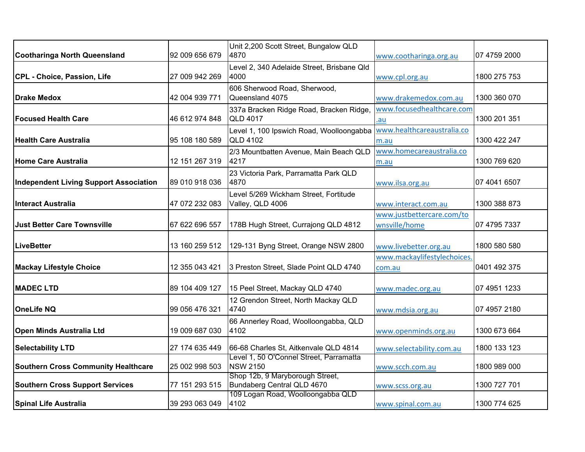|                                               |                | Unit 2,200 Scott Street, Bungalow QLD                         |                             |              |
|-----------------------------------------------|----------------|---------------------------------------------------------------|-----------------------------|--------------|
| Cootharinga North Queensland                  | 92 009 656 679 | 4870                                                          | www.cootharinga.org.au      | 07 4759 2000 |
|                                               |                | Level 2, 340 Adelaide Street, Brisbane Qld                    |                             |              |
| CPL - Choice, Passion, Life                   | 27 009 942 269 | 4000                                                          | www.cpl.org.au              | 1800 275 753 |
|                                               |                | 606 Sherwood Road, Sherwood,                                  |                             |              |
| <b>Drake Medox</b>                            | 42 004 939 771 | Queensland 4075                                               | www.drakemedox.com.au       | 1300 360 070 |
|                                               |                | 337a Bracken Ridge Road, Bracken Ridge,                       | www.focusedhealthcare.com   |              |
| <b>Focused Health Care</b>                    | 46 612 974 848 | <b>QLD 4017</b>                                               | .au                         | 1300 201 351 |
|                                               |                | Level 1, 100 Ipswich Road, Woolloongabba                      | www.healthcareaustralia.co  |              |
| <b>Health Care Australia</b>                  | 95 108 180 589 | <b>QLD 4102</b>                                               | m.au                        | 1300 422 247 |
|                                               |                | 2/3 Mountbatten Avenue, Main Beach QLD                        | www.homecareaustralia.co    |              |
| Home Care Australia                           | 12 151 267 319 | 4217                                                          | m.au                        | 1300 769 620 |
|                                               |                | 23 Victoria Park, Parramatta Park QLD                         |                             |              |
| <b>Independent Living Support Association</b> | 89 010 918 036 | 4870                                                          | www.ilsa.org.au             | 07 4041 6507 |
|                                               |                | Level 5/269 Wickham Street, Fortitude                         |                             |              |
| Interact Australia                            | 47 072 232 083 | Valley, QLD 4006                                              | www.interact.com.au         | 1300 388 873 |
|                                               |                |                                                               | www.justbettercare.com/to   |              |
| <b>Just Better Care Townsville</b>            | 67 622 696 557 | 178B Hugh Street, Currajong QLD 4812                          | wnsville/home               | 07 4795 7337 |
|                                               |                |                                                               |                             |              |
| <b>LiveBetter</b>                             | 13 160 259 512 | 129-131 Byng Street, Orange NSW 2800                          | www.livebetter.org.au       | 1800 580 580 |
|                                               |                |                                                               | www.mackaylifestylechoices. |              |
| <b>Mackay Lifestyle Choice</b>                | 12 355 043 421 | 3 Preston Street, Slade Point QLD 4740                        | com.au                      | 0401 492 375 |
|                                               |                |                                                               |                             |              |
| <b>MADEC LTD</b>                              | 89 104 409 127 | 15 Peel Street, Mackay QLD 4740                               | www.madec.org.au            | 07 4951 1233 |
|                                               |                | 12 Grendon Street, North Mackay QLD                           |                             |              |
| <b>OneLife NQ</b>                             | 99 056 476 321 | 4740                                                          | www.mdsia.org.au            | 07 4957 2180 |
|                                               |                | 66 Annerley Road, Woolloongabba, QLD                          |                             |              |
| <b>Open Minds Australia Ltd</b>               | 19 009 687 030 | 4102                                                          | www.openminds.org.au        | 1300 673 664 |
| <b>Selectability LTD</b>                      | 27 174 635 449 | 66-68 Charles St, Aitkenvale QLD 4814                         | www.selectability.com.au    | 1800 133 123 |
|                                               |                | Level 1, 50 O'Connel Street, Parramatta                       |                             |              |
| <b>Southern Cross Community Healthcare</b>    | 25 002 998 503 | <b>NSW 2150</b>                                               | www.scch.com.au             | 1800 989 000 |
| <b>Southern Cross Support Services</b>        | 77 151 293 515 | Shop 12b, 9 Maryborough Street,<br>Bundaberg Central QLD 4670 |                             | 1300 727 701 |
|                                               |                | 109 Logan Road, Woolloongabba QLD                             | www.scss.org.au             |              |
| <b>Spinal Life Australia</b>                  | 39 293 063 049 | 4102                                                          | www.spinal.com.au           | 1300 774 625 |